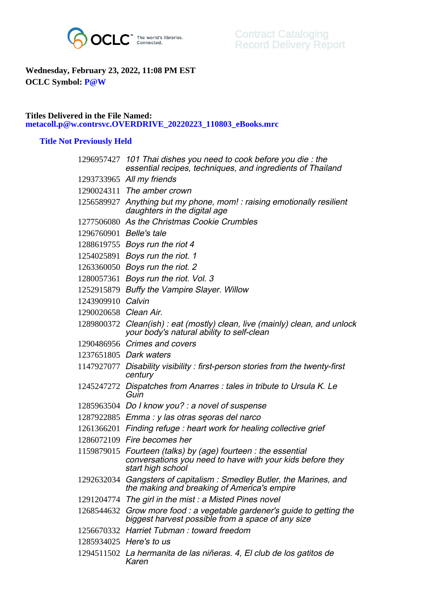

## **Wednesday, February 23, 2022, 11:08 PM EST OCLC Symbol: P@W**

## **Titles Delivered in the File Named: metacoll.p@w.contrsvc.OVERDRIVE\_20220223\_110803\_eBooks.mrc**

## **Title Not Previously Held**

|                         | 1296957427 101 Thai dishes you need to cook before you die: the<br>essential recipes, techniques, and ingredients of Thailand                   |
|-------------------------|-------------------------------------------------------------------------------------------------------------------------------------------------|
|                         | 1293733965 All my friends                                                                                                                       |
|                         | 1290024311 The amber crown                                                                                                                      |
|                         | 1256589927 Anything but my phone, mom! : raising emotionally resilient<br>daughters in the digital age                                          |
|                         | 1277506080 As the Christmas Cookie Crumbles                                                                                                     |
| 1296760901 Belle's tale |                                                                                                                                                 |
|                         | 1288619755 Boys run the riot 4                                                                                                                  |
|                         | 1254025891 Boys run the riot. 1                                                                                                                 |
|                         | 1263360050 Boys run the riot. 2                                                                                                                 |
|                         | 1280057361 Boys run the riot. Vol. 3                                                                                                            |
|                         | 1252915879 Buffy the Vampire Slayer. Willow                                                                                                     |
| 1243909910 Calvin       |                                                                                                                                                 |
| 1290020658 Clean Air.   |                                                                                                                                                 |
|                         | 1289800372 Clean(ish): eat (mostly) clean, live (mainly) clean, and unlock<br>your body's natural ability to self-clean                         |
|                         | 1290486956 Crimes and covers                                                                                                                    |
|                         | 1237651805 Dark waters                                                                                                                          |
|                         | 1147927077 Disability visibility: first-person stories from the twenty-first<br>century                                                         |
| 1245247272              | Dispatches from Anarres : tales in tribute to Ursula K. Le<br>Guin                                                                              |
|                         | 1285963504 Do I know you? : a novel of suspense                                                                                                 |
|                         | 1287922885 Emma : y las otras seoras del narco                                                                                                  |
|                         | 1261366201 Finding refuge: heart work for healing collective grief                                                                              |
|                         | 1286072109 Fire becomes her                                                                                                                     |
|                         | 1159879015 Fourteen (talks) by (age) fourteen : the essential<br>conversations you need to have with your kids before they<br>start high school |
|                         | 1292632034 Gangsters of capitalism: Smedley Butler, the Marines, and<br>the making and breaking of America's empire                             |
|                         | 1291204774 The girl in the mist: a Misted Pines novel                                                                                           |
|                         | 1268544632 Grow more food : a vegetable gardener's guide to getting the<br>biggest harvest possible from a space of any size                    |
|                         | 1256670332 Harriet Tubman: toward freedom                                                                                                       |
|                         | 1285934025 Here's to us                                                                                                                         |
|                         | 1294511502 La hermanita de las niñeras. 4, El club de los gatitos de<br>Karen                                                                   |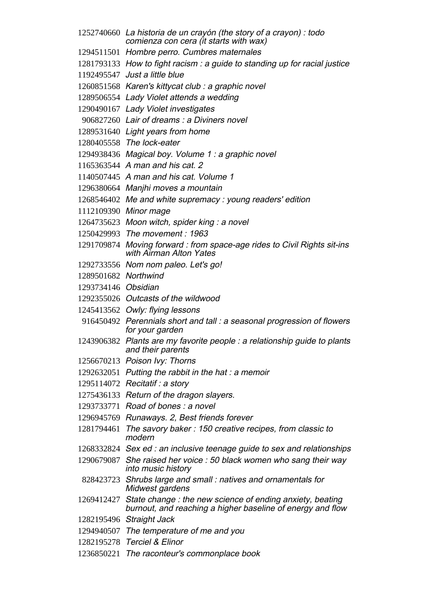- La historia de un crayón (the story of a crayon) : todo comienza con cera (it starts with wax)
- Hombre perro. Cumbres maternales
- How to fight racism : a guide to standing up for racial justice
- Just a little blue
- Karen's kittycat club : a graphic novel
- Lady Violet attends a wedding
- Lady Violet investigates
- Lair of dreams : a Diviners novel
- Light years from home
- The lock-eater
- Magical boy. Volume 1 : a graphic novel
- A man and his cat. 2
- A man and his cat. Volume 1
- Manjhi moves a mountain
- Me and white supremacy : young readers' edition
- Minor mage
- Moon witch, spider king : a novel
- The movement : 1963
- Moving forward : from space-age rides to Civil Rights sit-ins with Airman Alton Yates
- Nom nom paleo. Let's go!
- Northwind
- Obsidian
- Outcasts of the wildwood
- Owly: flying lessons
- Perennials short and tall : a seasonal progression of flowers for your garden
- Plants are my favorite people : a relationship guide to plants and their parents
- Poison Ivy: Thorns
- 1292632051 Putting the rabbit in the hat : a memoir
- Recitatif : a story
- Return of the dragon slayers.
- Road of bones : a novel
- Runaways. 2, Best friends forever
- The savory baker : 150 creative recipes, from classic to modern
- Sex ed : an inclusive teenage guide to sex and relationships
- She raised her voice : 50 black women who sang their way into music history
- Shrubs large and small : natives and ornamentals for Midwest gardens
- State change : the new science of ending anxiety, beating burnout, and reaching a higher baseline of energy and flow
- Straight Jack
- The temperature of me and you
- Terciel & Elinor
- The raconteur's commonplace book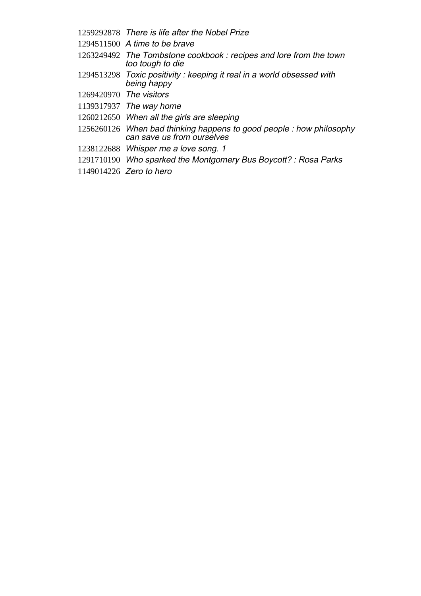- There is life after the Nobel Prize
- A time to be brave
- The Tombstone cookbook : recipes and lore from the town too tough to die
- Toxic positivity : keeping it real in a world obsessed with being happy
- The visitors
- The way home
- When all the girls are sleeping
- When bad thinking happens to good people : how philosophy can save us from ourselves
- Whisper me a love song. 1
- Who sparked the Montgomery Bus Boycott? : Rosa Parks
- Zero to hero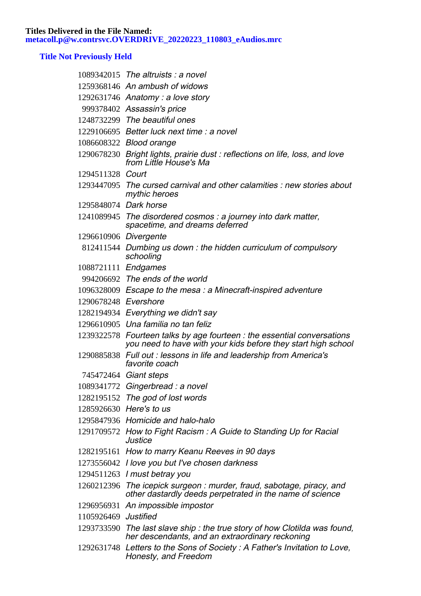## **Title Not Previously Held**

|                      | $1089342015$ The altruists : a novel                                                                                                     |
|----------------------|------------------------------------------------------------------------------------------------------------------------------------------|
|                      | 1259368146 An ambush of widows                                                                                                           |
|                      | 1292631746 Anatomy: a love story                                                                                                         |
|                      | 999378402 Assassin's price                                                                                                               |
|                      | 1248732299 The beautiful ones                                                                                                            |
|                      | 1229106695 Better luck next time: a novel                                                                                                |
|                      | 1086608322 Blood orange                                                                                                                  |
|                      | 1290678230 Bright lights, prairie dust: reflections on life, loss, and love<br>from Little House's Ma                                    |
| 1294511328 Court     |                                                                                                                                          |
|                      | 1293447095 The cursed carnival and other calamities : new stories about<br>mythic heroes                                                 |
|                      | 1295848074 Dark horse                                                                                                                    |
|                      | 1241089945 The disordered cosmos : a journey into dark matter,<br>spacetime, and dreams deferred                                         |
|                      | 1296610906 Divergente                                                                                                                    |
|                      | 812411544 Dumbing us down: the hidden curriculum of compulsory<br>schooling                                                              |
| 1088721111 Endgames  |                                                                                                                                          |
|                      | 994206692 The ends of the world                                                                                                          |
|                      | 1096328009 Escape to the mesa : a Minecraft-inspired adventure                                                                           |
| 1290678248 Evershore |                                                                                                                                          |
|                      | 1282194934 Everything we didn't say                                                                                                      |
|                      | 1296610905 Una familia no tan feliz                                                                                                      |
|                      | 1239322578 Fourteen talks by age fourteen : the essential conversations<br>you need to have with your kids before they start high school |
|                      | 1290885838 Full out : lessons in life and leadership from America's<br>favorite coach                                                    |
|                      | 745472464 Giant steps                                                                                                                    |
|                      | 1089341772 Gingerbread : a novel                                                                                                         |
|                      | 1282195152 The god of lost words                                                                                                         |
|                      | 1285926630 Here's to us                                                                                                                  |
|                      | 1295847936 Homicide and halo-halo                                                                                                        |
|                      | 1291709572 How to Fight Racism: A Guide to Standing Up for Racial<br>Justice                                                             |
|                      | 1282195161 How to marry Keanu Reeves in 90 days                                                                                          |
|                      | 1273556042 I love you but I've chosen darkness                                                                                           |
|                      | 1294511263 I must betray you                                                                                                             |
|                      | 1260212396 The icepick surgeon: murder, fraud, sabotage, piracy, and<br>other dastardly deeds perpetrated in the name of science         |
|                      | 1296956931 An impossible impostor                                                                                                        |
| 1105926469 Justified |                                                                                                                                          |
|                      | 1293733590 The last slave ship: the true story of how Clotilda was found,<br>her descendants, and an extraordinary reckoning             |
|                      | 1292631748 Letters to the Sons of Society: A Father's Invitation to Love,<br>Honesty, and Freedom                                        |